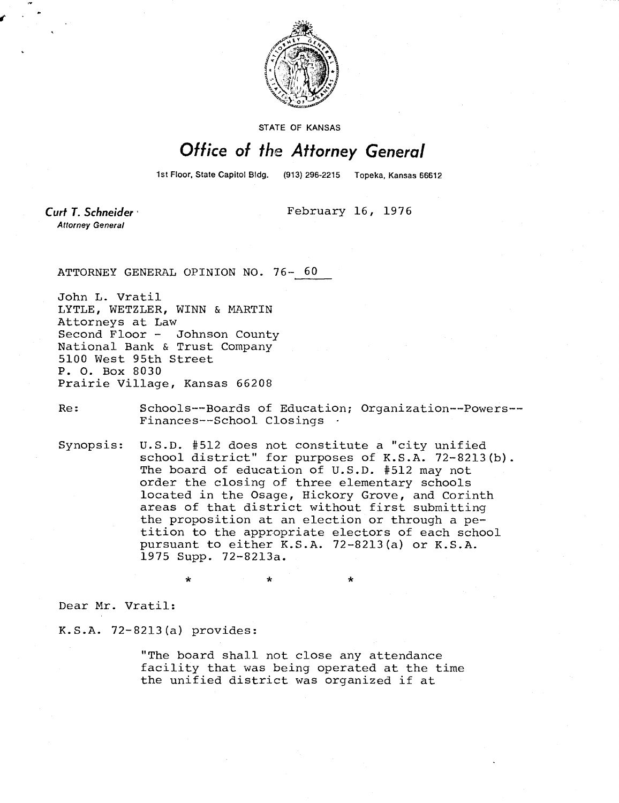

STATE OF KANSAS

## Office of the Attorney General

1st Floor, State Capitol Bldg.

(913) 296-2215 Topeka, Kansas 66612

Curt T. Schneider **Attorney General** 

February 16, 1976

ATTORNEY GENERAL OPINION NO. 76- 60

John L. Vratil LYTLE, WETZLER, WINN & MARTIN Attorneys at Law Second Floor - Johnson County National Bank & Trust Company 5100 West 95th Street P. O. Box 8030 Prairie Village, Kansas 66208

Re: Schools--Boards of Education; Organization--Powers-- Finances--School Closings

Synopsis: U.S.D. #512 does not constitute a "city unified school district" for purposes of K.S.A. 72-8213(b). The board of education of U.S.D. #512 may not order the closing of three elementary schools located in the Osage, Hickory Grove, and Corinth areas of that district without first submitting the proposition at an election or through a petition to the appropriate electors of each school pursuant to either K.S.A. 72-8213(a) or K.S.A. 1975 Supp. 72-8213a.

Dear Mr. Vratil:

K.S.A. 72-8213(a) provides:

\*

"The board shall not close any attendance facility that was being operated at the time the unified district was organized if at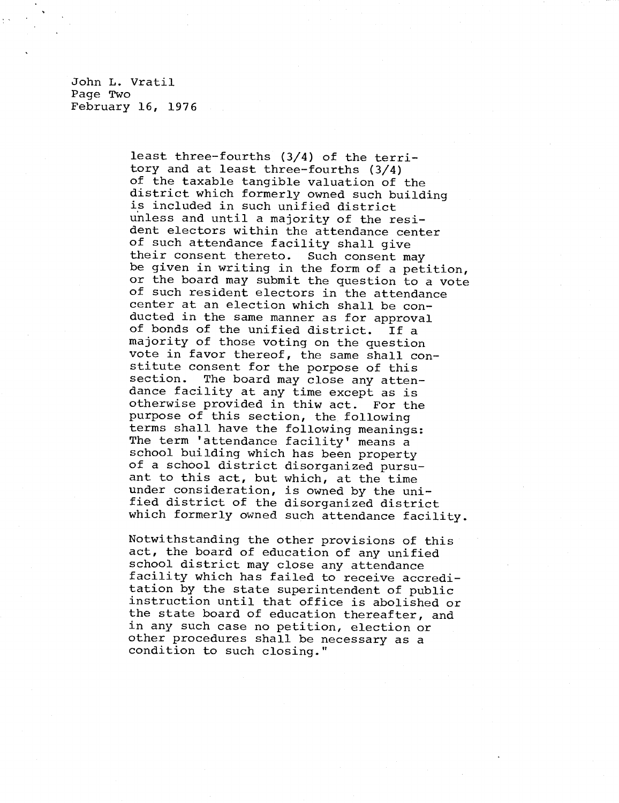John L. Vratil Page Two February 16, 1976

> least three-fourths (3/4) of the territory and at least three-fourths (3/4) of the taxable tangible valuation of the district which formerly owned such building is included in such unified district unless and until a majority of the resident electors within the attendance center of such attendance facility shall give their consent thereto. Such consent may be given in writing in the form of a petition, or the board may submit the question to a vote of such resident electors in the attendance center at an election which shall be conducted in the same manner as for approval of bonds of the unified district. If a majority of those voting on the question vote in favor thereof, the same shall constitute consent for the porpose of this section. The board may close any attendance facility at any time except as is otherwise provided in thiw act. For the purpose of this section, the following terms shall have the following meanings: The term 'attendance facility' means a school building which has been property of a school district disorganized pursuant to this act, but which, at the time under consideration, is owned by the unified district of the disorganized district which formerly owned such attendance facility.

Notwithstanding the other provisions of this act, the board of education of any unified school district may close any attendance facility which has failed to receive accreditation by the state superintendent of public instruction until that office is abolished or the state board of education thereafter, and in any such case no petition, election or other procedures shall be necessary as a condition to such closing."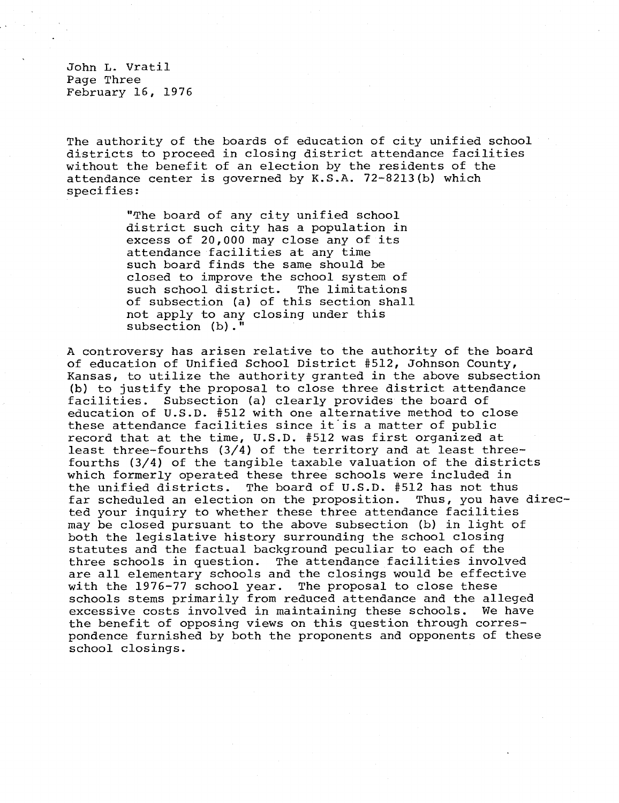John L. Vratil Page Three February 16, 1976

The authority of the boards of education of city unified school districts to proceed in closing district attendance facilities without the benefit of an election by the residents of the attendance center is governed by K.S.A. 72-8213(b) which specifies:

> "The board of any city unified school district such city has a population in excess of 20,000 may close any of its attendance facilities at any time such board finds the same should be closed to improve the school system of such school district. The limitations of subsection (a) of this section shall not apply to any closing under this subsection (b).

A controversy has arisen relative to the authority of the board of education of Unified School District #512, Johnson County, Kansas, to utilize the authority granted in the above subsection (b) to justify the proposal to close three district attendance facilities. Subsection (a) clearly provides the board of education of U.S.D. #512 with one alternative method to close these attendance facilities since it is a matter of public record that at the time, U.S.D. #512 was first organized at least three-fourths (3/4) of the territory and at least threefourths (3/4) of the tangible taxable valuation of the districts which formerly operated these three schools were included in the unified districts. The board of U.S.D. #512 has not thus far scheduled an election on the proposition. Thus, you have directed your inquiry to whether these three attendance facilities may be closed pursuant to the above subsection (b) in light of both the legislative history surrounding the school closing statutes and the factual background peculiar to each of the three schools in question. The attendance facilities involved are all elementary schools and the closings would be effective with the 1976-77 school year. The proposal to close these schools stems primarily from reduced attendance and the alleged excessive costs involved in maintaining these schools. We have the benefit of opposing views on this question through correspondence furnished by both the proponents and opponents of these school closings.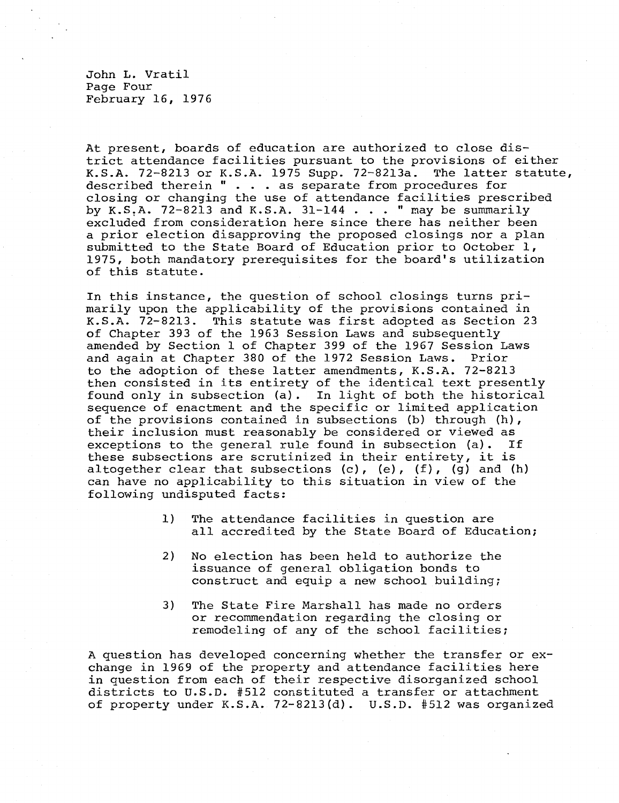John L. Vratil Page Four February 16, 1976

At present, boards of education are authorized to close district attendance facilities pursuant to the provisions of either<br>K.S.A. 72-8213 or K.S.A. 1975 Supp. 72-8213a. The latter statute, K.S.A. 72-8213 or K.S.A. 1975 Supp. 72-8213a. described therein " . . . as separate from procedures for closing or changing the use of attendance facilities prescribed by K.S.A. 72-8213 and K.S.A. 31-144 . . . " may be summarily excluded from consideration here since there has neither been a prior election disapproving the proposed closings nor a plan submitted to the State Board of Education prior to October 1, 1975, both mandatory prerequisites for the board's utilization of this statute.

In this instance, the question of school closings turns primarily upon the applicability of the provisions contained in K.S.A. 72-8213. This statute was first adopted as Section 23 of Chapter 393 of the 1963 Session Laws and subsequently amended by Section 1 of Chapter 399 of the 1967 Session Laws and again at Chapter 380 of the 1972 Session Laws. Prior to the adoption of these latter amendments, K.S.A. 72-8213 then consisted in its entirety of the identical text presently found only in subsection (a). In light of both the historical sequence of enactment and the specific or limited application of the provisions contained in subsections (b) through (h), their inclusion must reasonably be considered or viewed as exceptions to the general rule found in subsection (a). If these subsections are scrutinized in their entirety, it is altogether clear that subsections (c), (e),  $(f)$ , (g) and (h) can have no applicability to this situation in view of the following undisputed facts:

- 1) The attendance facilities in question are all accredited by the State Board of Education;
- 2) No election has been held to authorize the issuance of general obligation bonds to construct and equip a new school building;
- 3) The State Fire Marshall has made no orders or recommendation regarding the closing or remodeling of any of the school facilities;

A question has developed concerning whether the transfer or exchange in 1969 of the property and attendance facilities here in question from each of their respective disorganized school districts to U.S.D. #512 constituted a transfer or attachment of property under K.S.A. 72-8213(d). U.S.D. #512 was organized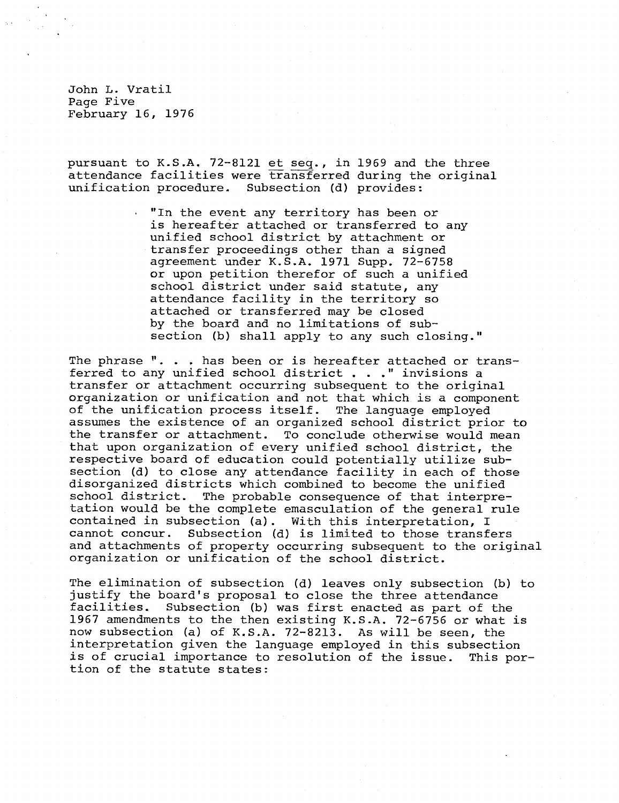John L. Vratil Page Five February 16, 1976

pursuant to K.S.A. 72-8121 et seq., in 1969 and the three attendance facilities were transferred during the original unification procedure. Subsection (d) provides:

> "In the event any territory has been or is hereafter attached or transferred to any unified school district by attachment or transfer proceedings other than a signed agreement under K.S.A. 1971 Supp. 72-6758 or upon petition therefor of such a unified school district under said statute, any attendance facility in the territory so attached or transferred may be closed by the board and no limitations of subsection (b) shall apply to any such closing."

The phrase ". . has been or is hereafter attached or transferred to any unified school district . . ." invisions a transfer or attachment occurring subsequent to the original organization or unification and not that which is a component of the unification process itself. The language employed assumes the existence of an organized school district prior to<br>the transfer or attachment. To conclude otherwise would mean To conclude otherwise would mean that upon organization of every unified school district, the respective board of education could potentially utilize subsection (d) to close any attendance facility in each of those disorganized districts which combined to become the unified school district. The probable consequence of that interpretation would be the complete emasculation of the general rule contained in subsection (a). With this interpretation, I cannot concur. Subsection (d) is limited to those transfers and attachments of property occurring subsequent to the original organization or unification of the school district.

The elimination of subsection (d) leaves only subsection (b) to justify the board's proposal to close the three attendance facilities. Subsection (b) was first enacted as part of the 1967 amendments to the then existing K.S.A. 72-6756 or what is now subsection (a) of K.S.A. 72-8213. As will be seen, the interpretation given the language employed in this subsection is of crucial importance to resolution of the issue. This portion of the statute states: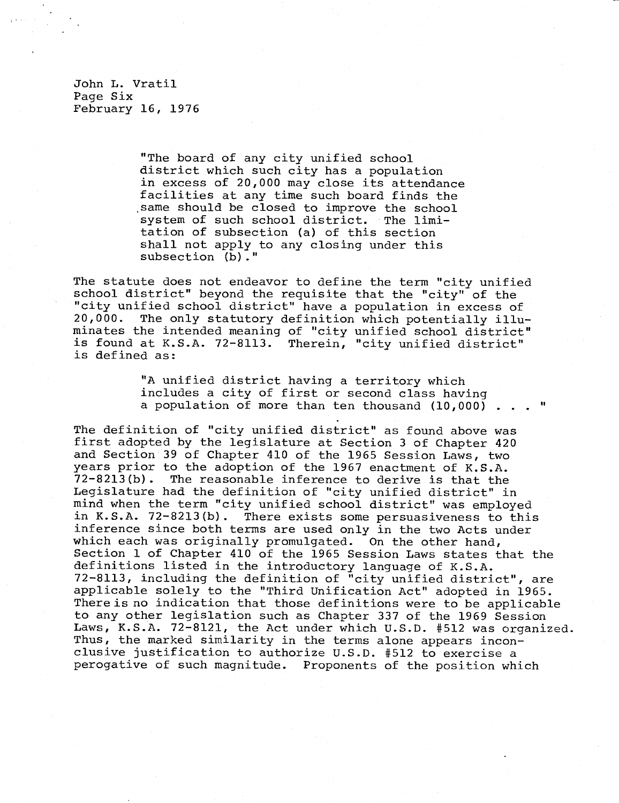John L. Vratil Page Six February 16, 1976

> "The board of any city unified school district which such city has a population in excess of 20,000 may close its attendance facilities at any time such board finds the same should be closed to improve the school system of such school district. The limitation of subsection (a) of this section shall not apply to any closing under this subsection (b)."

The statute does not endeavor to define the term "city unified school district" beyond the requisite that the "city" of the "city unified school district" have a population in excess of<br>20,000. The only statutory definition which potentially illu-The only statutory definition which potentially illuminates the intended meaning of "city unified school district" is found at K.S.A. 72-8113. Therein, "city unified district" is defined as:

> "A unified district having a territory which includes a city of first or second class having a population of more than ten thousand (10,000).

The definition of "city unified district" as found above was first adopted by the legislature at Section 3 of Chapter 420 and Section 39 of Chapter 410 of the 1965 Session Laws, two years prior to the adoption of the 1967 enactment of K.S.A. 72-8213(b). The reasonable inference to derive is that the Legislature had the definition of "city unified district" in mind when the term "city unified school district" was employed in K.S.A. 72-8213(b). There exists some persuasiveness to this inference since both terms are used only in the two Acts under which each was originally promulgated. On the other hand, Section 1 of Chapter 410 of the 1965 Session Laws states that the definitions listed in the introductory language of K.S.A. 72-8113, including the definition of "city unified district", are applicable solely to the "Third Unification Act" adopted in 1965. There is no indication that those definitions were to be applicable to any other legislation such as Chapter 337 of the 1969 Session Laws, K.S.A. 72-8121, the Act under which U.S.D. #512 was organized. Thus, the marked similarity in the terms alone appears inconclusive justification to authorize U.S.D. #512 to exercise a perogative of such magnitude. Proponents of the position which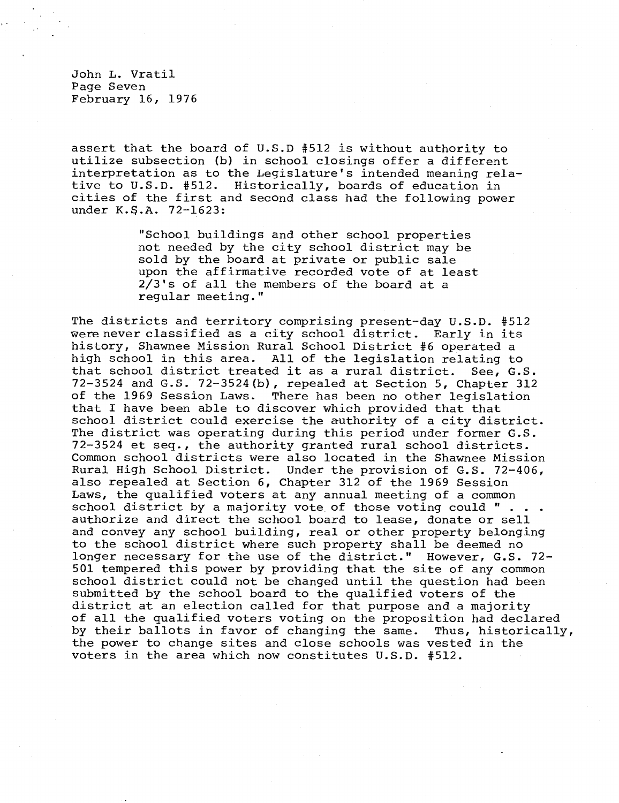John L. Vratil Page Seven February 16, 1976

assert that the board of U.S.D #512 is without authority to utilize subsection (b) in school closings offer a different interpretation as to the Legislature's intended meaning relative to U.S.D. #512. Historically, boards of education in cities of the first and second class had the following power under K.S.A. 72-1623:

> "School buildings and other school properties not needed by the city school district may be sold by the board at private or public sale upon the affirmative recorded vote of at least 2/3's of all the members of the board at a regular meeting."

The districts and territory comprising present-day U.S.D. #512 were never classified as a city school district. Early in its history, Shawnee Mission Rural School District #6 operated a high school in this area. All of the legislation relating to that school district treated it as a rural district. See, G.S. 72-3524 and G.S. 72-3524(b), repealed at Section 5, Chapter 312 of the 1969 Session Laws. There has been no other legislation that I have been able to discover which provided that that school district could exercise the authority of a city district. The district was operating during this period under former G.S. 72-3524 et seq., the authority granted rural school districts. Common school districts were also located in the Shawnee Mission Rural High School District. Under the provision of G.S. 72-406, also repealed at Section 6, Chapter 312 of the 1969 Session Laws, the qualified voters at any annual meeting of a common school district by a majority vote of those voting could  $" . . .$ authorize and direct the school board to lease, donate or sell and convey any school building, real or other property belonging to the school district where such property shall be deemed no longer necessary for the use of the district." However, G.S. 72- 501 tempered this power by providing that the site of any common school district could not be changed until the question had been submitted by the school board to the qualified voters of the district at an election called for that purpose and a majority of all the qualified voters voting on the proposition had declared by their ballots in favor of changing the same. Thus, historically, the power to change sites and close schools was vested in the voters in the area which now constitutes U.S.D. #512.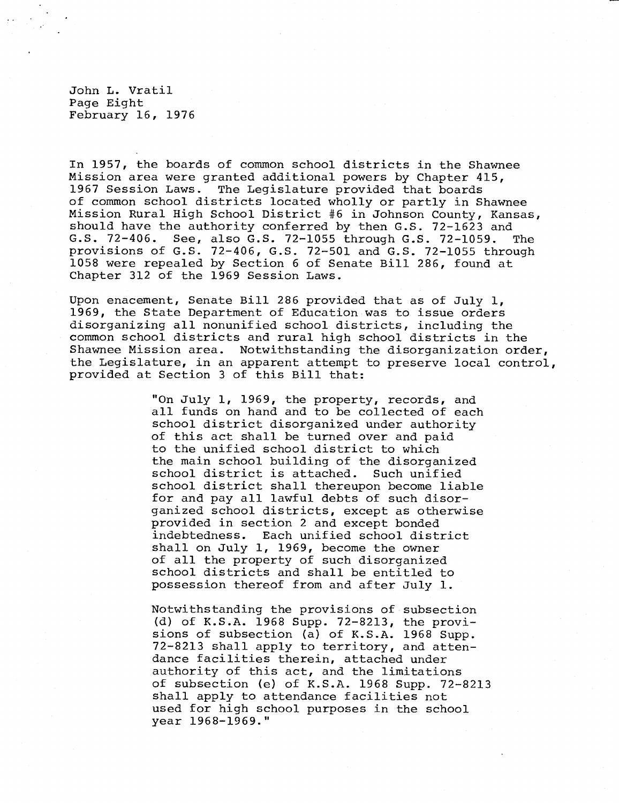John L. Vratil Page Eight February 16, 1976

In 1957, the boards of common school districts in the Shawnee Mission area were granted additional powers by Chapter 415, 1967 Session Laws. The Legislature provided that boards of common school districts located wholly or partly in Shawnee Mission Rural High School District #6 in Johnson County, Kansas, should have the authority conferred by then G.S. 72-1623 and G.S. 72-406. See, also G.S. 72-1055 through G.S. 72-1059. The provisions of G.S. 72-406, G.S. 72-501 and G.S. 72-1055 through 1058 were repealed by Section 6 of Senate Bill 286, found at Chapter 312 of the 1969 Session Laws.

Upon enacement, Senate Bill 286 provided that as of July 1, 1969, the State Department of Education was to issue orders disorganizing all nonunified school districts, including the common school districts and rural high school districts in the Shawnee Mission area. Notwithstanding the disorganization order, the Legislature, in an apparent attempt to preserve local control, provided at Section 3 of this Bill that:

> "On July 1, 1969, the property, records, and all funds on hand and to be collected of each school district disorganized under authority of this act shall be turned over and paid to the unified school district to which the main school building of the disorganized school district is attached. Such unified school district shall thereupon become liable for and pay all lawful debts of such disorganized school districts, except as otherwise provided in section 2 and except bonded indebtedness. Each unified school district shall on July 1, 1969, become the owner of all the property of such disorganized school districts and shall be entitled to possession thereof from and after July 1.

Notwithstanding the provisions of subsection (d) of K.S.A. 1968 Supp. 72-8213, the provisions of subsection (a) of K.S.A. 1968 Supp. 72-8213 shall apply to territory, and attendance facilities therein, attached under authority of this act, and the limitations of subsection (e) of K.S.A. 1968 Supp. 72-8213 shall apply to attendance facilities not used for high school purposes in the school year 1968-1969."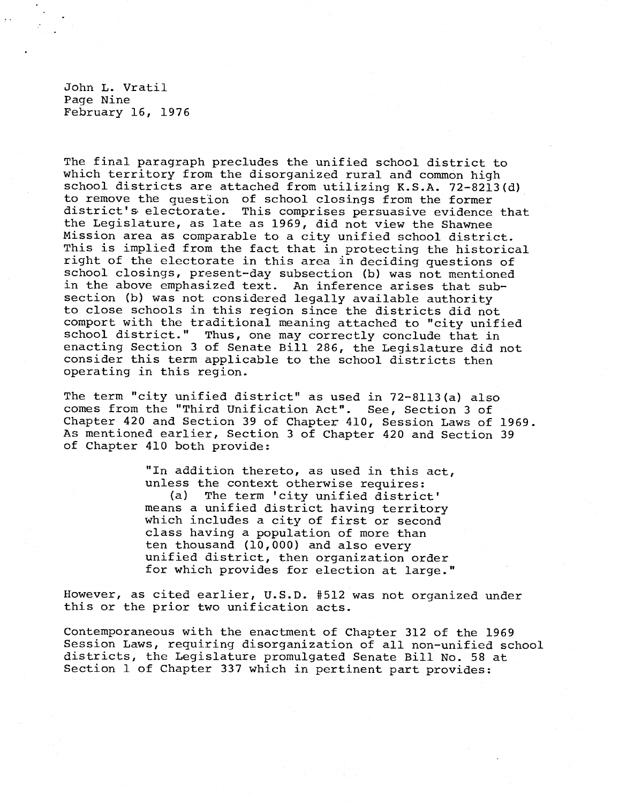John L. Vratil Page Nine February 16, 1976

The final paragraph precludes the unified school district to which territory from the disorganized rural and common high school districts are attached from utilizing K.S.A. 72-8213(d) to remove the question of school closings from the former district's electorate. This comprises persuasive evidence that the Legislature, as late as 1969, did not view the Shawnee Mission area as comparable to a city unified school district. This is implied from the fact that in protecting the historical right of the electorate in this area in deciding questions of school closings, present-day subsection (b) was not mentioned in the above emphasized text. An inference arises that subsection (b) was not considered legally available authority to close schools in this region since the districts did not comport with the traditional meaning attached to "city unified school district." Thus, one may correctly conclude that in enacting Section 3 of Senate Bill 286, the Legislature did not consider this term applicable to the school districts then operating in this region.

The term "city unified district" as used in 72-8113(a) also comes from the "Third Unification Act". See, Section 3 of Chapter 420 and Section 39 of Chapter 410, Session Laws of 1969. As mentioned earlier, Section 3 of Chapter 420 and Section 39 of Chapter 410 both provide:

> "In addition thereto, as used in this act, unless the context otherwise requires: (a) The term 'city unified district' means a unified district having territory which includes a city of first or second class having a population of more than ten thousand (10,000) and also every unified district, then organization order for which provides for election at large."

However, as cited earlier, U.S.D. #512 was not organized under this or the prior two unification acts.

Contemporaneous with the enactment of Chapter 312 of the 1969 Session Laws, requiring disorganization of all non-unified school districts, the Legislature promulgated Senate Bill No. 58 at Section 1 of Chapter 337 which in pertinent part provides: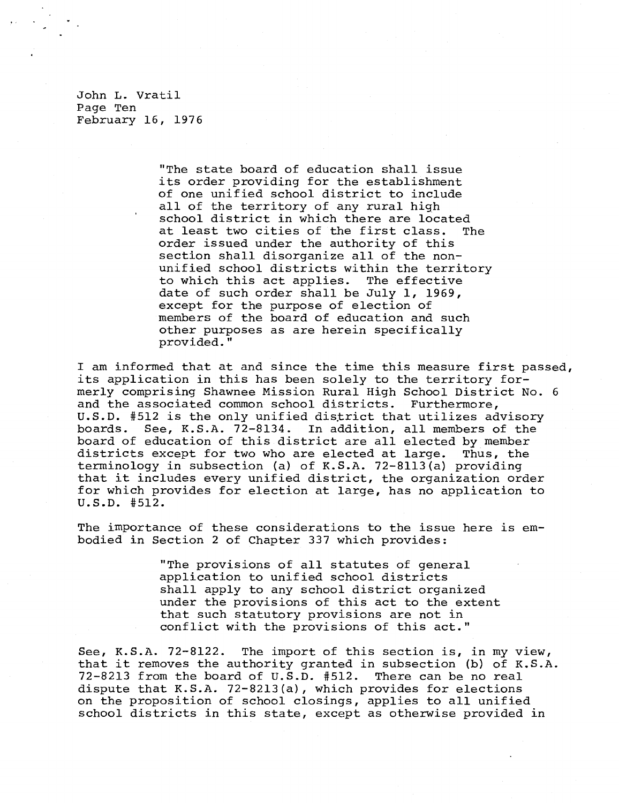John L. Vratil Page Ten February 16, 1976

> "The state board of education shall issue its order providing for the establishment of one unified school district to include all of the territory of any rural high school district in which there are located at least two cities of the first class. The order issued under the authority of this section shall disorganize all of the nonunified school districts within the territory to which this act applies. The effective date of such order shall be July 1, 1969, except for the purpose of election of members of the board of education and such other purposes as are herein specifically provided."

I am informed that at and since the time this measure first passed, its application in this has been solely to the territory formerly comprising Shawnee Mission Rural High School District No. 6 and the associated common school districts. Furthermore, U.S.D. #512 is the only unified district that utilizes advisory boards. See, K.S.A. 72-8134. In addition, all members of the board of education of this district are all elected by member districts except for two who are elected at large. Thus, the terminology in subsection (a) of K.S.A. 72-8113(a) providing that it includes every unified district, the organization order for which provides for election at large, has no application to U.S.D. #512.

The importance of these considerations to the issue here is embodied in Section 2 of Chapter 337 which provides:

> "The provisions of all statutes of general application to unified school districts shall apply to any school district organized under the provisions of this act to the extent that such statutory provisions are not in conflict with the provisions of this act."

See, K.S.A. 72-8122. The import of this section is, in my view, that it removes the authority granted in subsection (b) of K.S.A. 72-8213 from the board of U.S.D. #512. There can be no real dispute that K.S.A. 72-8213(a), which provides for elections on the proposition of school closings, applies to all unified school districts in this state, except as otherwise provided in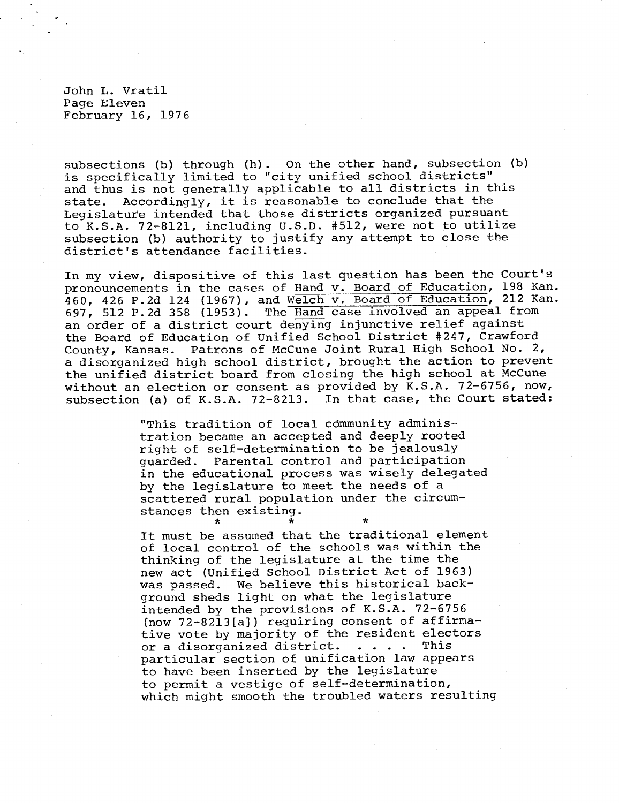John L. Vratil Page Eleven February 16, 1976

subsections (b) through (h). On the other hand, subsection (b) is specifically limited to "city unified school districts" and thus is not generally applicable to all districts in this state. Accordingly, it is reasonable to conclude that the Legislature intended that those districts organized pursuant to K.S.A. 72-8121, including U.S.D. #512, were not to utilize subsection (b) authority to justify any attempt to close the district's attendance facilities.

In my view, dispositive of this last question has been the Court's pronouncements in the cases of Hand v. Board of Education, 198 Kan. 460, 426 P.2d 124 (1967), and Welch v. Board of Education,212 Kan. 697, 512 P.2d 358 (1953). The Handcase involved an appeal from an order of a district court denying injunctive relief against the Board of Education of Unified School District #247, Crawford County, Kansas. Patrons of McCune Joint Rural High School No. 2, a disorganized high school district, brought the action to prevent the unified district board from closing the high school at McCune without an election or consent as provided by K.S.A. 72-6756, now, subsection (a) of K.S.A. 72-8213. In that case, the Court stated:

> "This tradition of local community administration became an accepted and deeply rooted right of self-determination to be jealously guarded. Parental control and participation in the educational process was wisely delegated by the legislature to meet the needs of a scattered rural population under the circumstances then existing.

> > $\star$

It must be assumed that the traditional element of local control of the schools was within the thinking of the legislature at the time the new act (Unified School District Act of 1963) was passed. We believe this historical background sheds light on what the legislature intended by the provisions of K.S.A. 72-6756 (now 72-8213[a]) requiring consent of affirmative vote by majority of the resident electors or a disorganized district. . . . . This particular section of unification law appears to have been inserted by the legislature to permit a vestige of self-determination, which might smooth the troubled waters resulting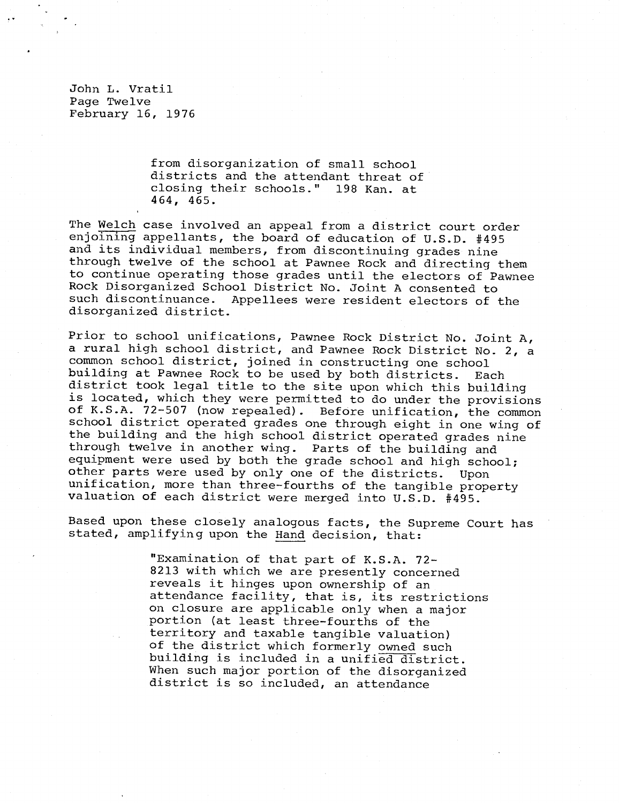John L. Vratil Page Twelve February 16, 1976

> from disorganization of small school districts and the attendant threat of closing their schools." 198 Kan. at 464, 465.

The Welch case involved an appeal from a district court order enjoining appellants, the board of education of U.S.D. #495 and its individual members, from discontinuing grades nine through twelve of the school at Pawnee Rock and directing them to continue operating those grades until the electors of Pawnee Rock Disorganized School District No. Joint A consented to such discontinuance. Appellees were resident electors of the disorganized district.

Prior to school unifications, Pawnee Rock District No. Joint A, a rural high school district, and Pawnee Rock District No. 2, a common school district, joined in constructing one school building at Pawnee Rock to be used by both districts. Each district took legal title to the site upon which this building is located, which they were permitted to do under the provisions of K.S.A. 72-507 (now repealed). Before unification, the common school district operated grades one through eight in one wing of the building and the high school district operated grades nine through twelve in another wing. Parts of the building and equipment were used by both the grade school and high school; other parts were used by only one of the districts. Upon unification, more than three-fourths of the tangible property valuation of each district were merged into U.S.D. #495.

Based upon these closely analogous facts, the Supreme Court has stated, amplifying upon the Hand decision, that:

> "Examination of that part of K.S.A. 72- 8213 with which we are presently concerned reveals it hinges upon ownership of an attendance facility, that is, its restrictions on closure are applicable only when a major portion (at least three-fourths of the territory and taxable tangible valuation) of the district which formerly owned such building is included in a unified district. When such major portion of the disorganized district is so included, an attendance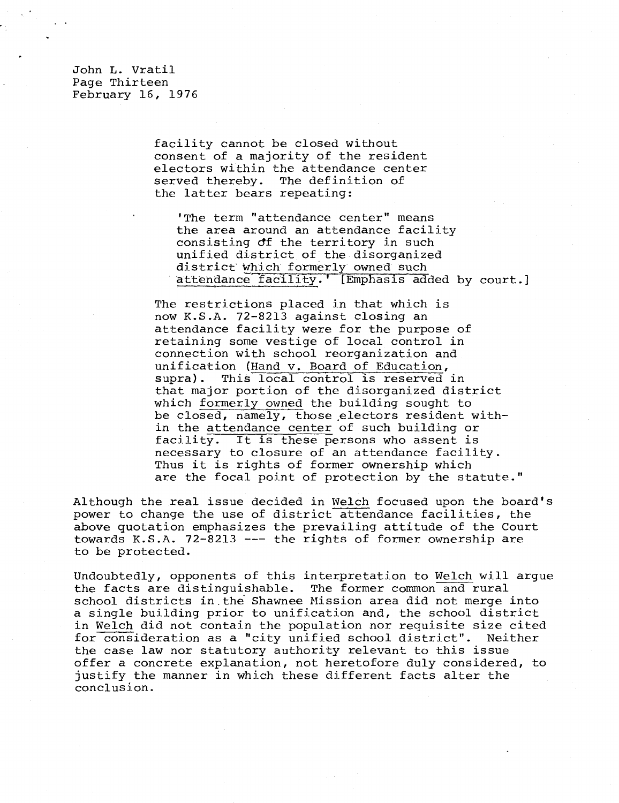John L. Vratil Page Thirteen February 16, 1976

> facility cannot be closed without consent of a majority of the resident electors within the attendance center served thereby. The definition of the latter bears repeating:

'The term "attendance center" means the area around an attendance facility consisting df the territory in such unified district of the disorganized district Which formerly owned such attendance facility.' [Emphasis added by court.]

The restrictions placed in that which is now K.S.A. 72-8213 against closing an attendance facility were for the purpose of retaining some vestige of local control in connection with school reorganization and unification (Hand v. Board of Education, supra). This local control is reserved in that major portion of the disorganized district which formerly owned the building sought to be closed, namely, those electors resident within the attendance center of such building or facility. It is these persons who assent is necessary to closure of an attendance facility. Thus it is rights of former ownership which are the focal point of protection by the statute."

Although the real issue decided in Welch focused upon the board's power to change the use of district attendance facilities, the above quotation emphasizes the prevailing attitude of the Court towards K.S.A. 72-8213 --- the rights of former ownership are to be protected.

Undoubtedly, opponents of this interpretation to Welch will argue the facts are distinguishable. The former common and rural school districts in the Shawnee Mission area did not merge into a single building prior to unification and, the school district in Welch did not contain the population nor requisite size cited for consideration as a "city unified school district". Neither the case law nor statutory authority relevant to this issue offer a concrete explanation, not heretofore duly considered, to justify the manner in which these different facts alter the conclusion.